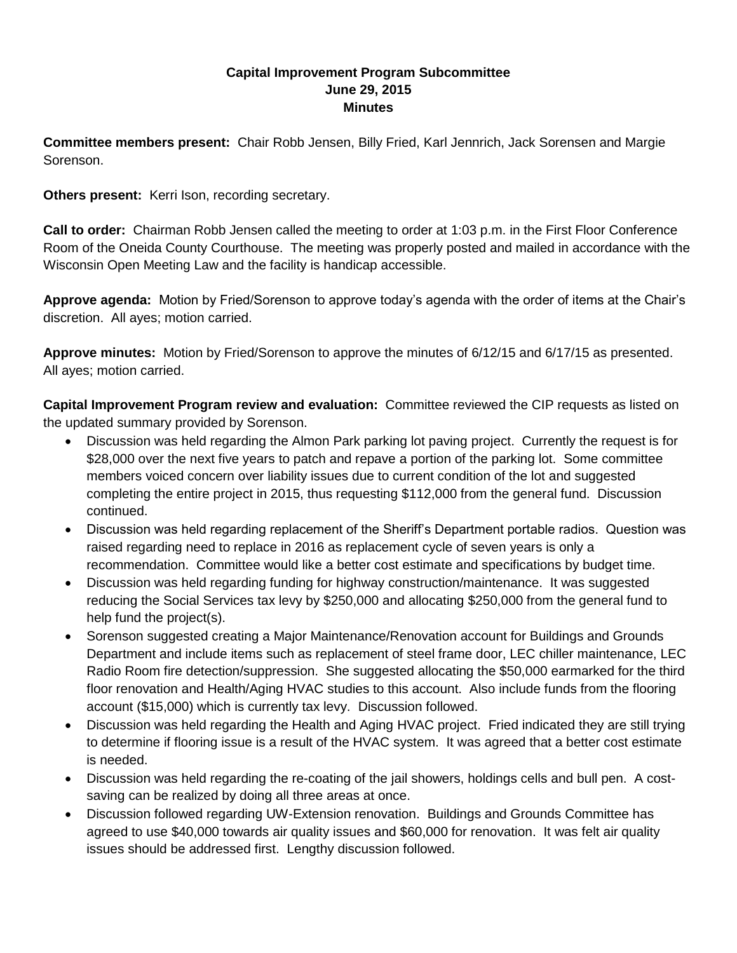## **Capital Improvement Program Subcommittee June 29, 2015 Minutes**

**Committee members present:** Chair Robb Jensen, Billy Fried, Karl Jennrich, Jack Sorensen and Margie Sorenson.

**Others present:** Kerri Ison, recording secretary.

**Call to order:** Chairman Robb Jensen called the meeting to order at 1:03 p.m. in the First Floor Conference Room of the Oneida County Courthouse. The meeting was properly posted and mailed in accordance with the Wisconsin Open Meeting Law and the facility is handicap accessible.

**Approve agenda:** Motion by Fried/Sorenson to approve today's agenda with the order of items at the Chair's discretion. All ayes; motion carried.

**Approve minutes:** Motion by Fried/Sorenson to approve the minutes of 6/12/15 and 6/17/15 as presented. All ayes; motion carried.

**Capital Improvement Program review and evaluation:** Committee reviewed the CIP requests as listed on the updated summary provided by Sorenson.

- Discussion was held regarding the Almon Park parking lot paving project. Currently the request is for \$28,000 over the next five years to patch and repave a portion of the parking lot. Some committee members voiced concern over liability issues due to current condition of the lot and suggested completing the entire project in 2015, thus requesting \$112,000 from the general fund. Discussion continued.
- Discussion was held regarding replacement of the Sheriff's Department portable radios. Question was raised regarding need to replace in 2016 as replacement cycle of seven years is only a recommendation. Committee would like a better cost estimate and specifications by budget time.
- Discussion was held regarding funding for highway construction/maintenance. It was suggested reducing the Social Services tax levy by \$250,000 and allocating \$250,000 from the general fund to help fund the project(s).
- Sorenson suggested creating a Major Maintenance/Renovation account for Buildings and Grounds Department and include items such as replacement of steel frame door, LEC chiller maintenance, LEC Radio Room fire detection/suppression. She suggested allocating the \$50,000 earmarked for the third floor renovation and Health/Aging HVAC studies to this account. Also include funds from the flooring account (\$15,000) which is currently tax levy. Discussion followed.
- Discussion was held regarding the Health and Aging HVAC project. Fried indicated they are still trying to determine if flooring issue is a result of the HVAC system. It was agreed that a better cost estimate is needed.
- Discussion was held regarding the re-coating of the jail showers, holdings cells and bull pen. A costsaving can be realized by doing all three areas at once.
- Discussion followed regarding UW-Extension renovation. Buildings and Grounds Committee has agreed to use \$40,000 towards air quality issues and \$60,000 for renovation. It was felt air quality issues should be addressed first. Lengthy discussion followed.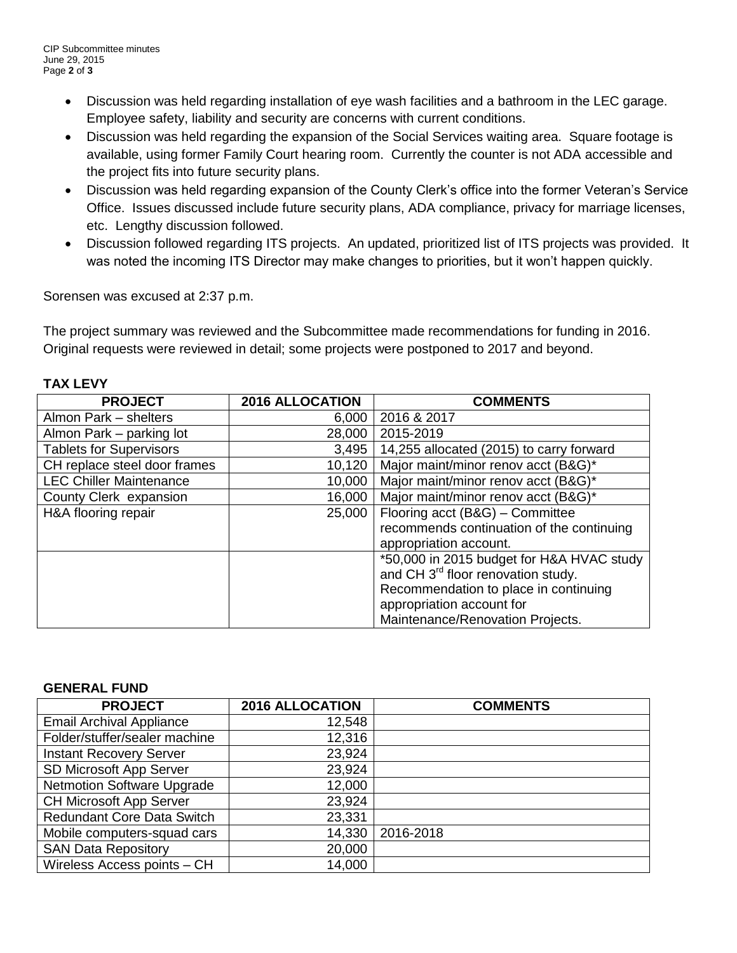- Discussion was held regarding installation of eye wash facilities and a bathroom in the LEC garage. Employee safety, liability and security are concerns with current conditions.
- Discussion was held regarding the expansion of the Social Services waiting area. Square footage is available, using former Family Court hearing room. Currently the counter is not ADA accessible and the project fits into future security plans.
- Discussion was held regarding expansion of the County Clerk's office into the former Veteran's Service Office. Issues discussed include future security plans, ADA compliance, privacy for marriage licenses, etc. Lengthy discussion followed.
- Discussion followed regarding ITS projects. An updated, prioritized list of ITS projects was provided. It was noted the incoming ITS Director may make changes to priorities, but it won't happen quickly.

Sorensen was excused at 2:37 p.m.

The project summary was reviewed and the Subcommittee made recommendations for funding in 2016. Original requests were reviewed in detail; some projects were postponed to 2017 and beyond.

| <b>PROJECT</b>                 | <b>2016 ALLOCATION</b> | <b>COMMENTS</b>                                |
|--------------------------------|------------------------|------------------------------------------------|
| Almon Park - shelters          | 6,000                  | 2016 & 2017                                    |
| Almon Park – parking lot       | 28,000                 | 2015-2019                                      |
| <b>Tablets for Supervisors</b> | 3,495                  | 14,255 allocated (2015) to carry forward       |
| CH replace steel door frames   | 10,120                 | Major maint/minor renov acct (B&G)*            |
| <b>LEC Chiller Maintenance</b> | 10,000                 | Major maint/minor renov acct (B&G)*            |
| County Clerk expansion         | 16,000                 | Major maint/minor renov acct (B&G)*            |
| H&A flooring repair            | 25,000                 | Flooring acct (B&G) - Committee                |
|                                |                        | recommends continuation of the continuing      |
|                                |                        | appropriation account.                         |
|                                |                        | *50,000 in 2015 budget for H&A HVAC study      |
|                                |                        | and CH 3 <sup>rd</sup> floor renovation study. |
|                                |                        | Recommendation to place in continuing          |
|                                |                        | appropriation account for                      |
|                                |                        | Maintenance/Renovation Projects.               |

## **TAX LEVY**

## **GENERAL FUND**

| <b>PROJECT</b>                  | <b>2016 ALLOCATION</b> | <b>COMMENTS</b> |
|---------------------------------|------------------------|-----------------|
| <b>Email Archival Appliance</b> | 12,548                 |                 |
| Folder/stuffer/sealer machine   | 12,316                 |                 |
| <b>Instant Recovery Server</b>  | 23,924                 |                 |
| SD Microsoft App Server         | 23,924                 |                 |
| Netmotion Software Upgrade      | 12,000                 |                 |
| CH Microsoft App Server         | 23,924                 |                 |
| Redundant Core Data Switch      | 23,331                 |                 |
| Mobile computers-squad cars     | 14,330                 | 2016-2018       |
| <b>SAN Data Repository</b>      | 20,000                 |                 |
| Wireless Access points - CH     | 14,000                 |                 |